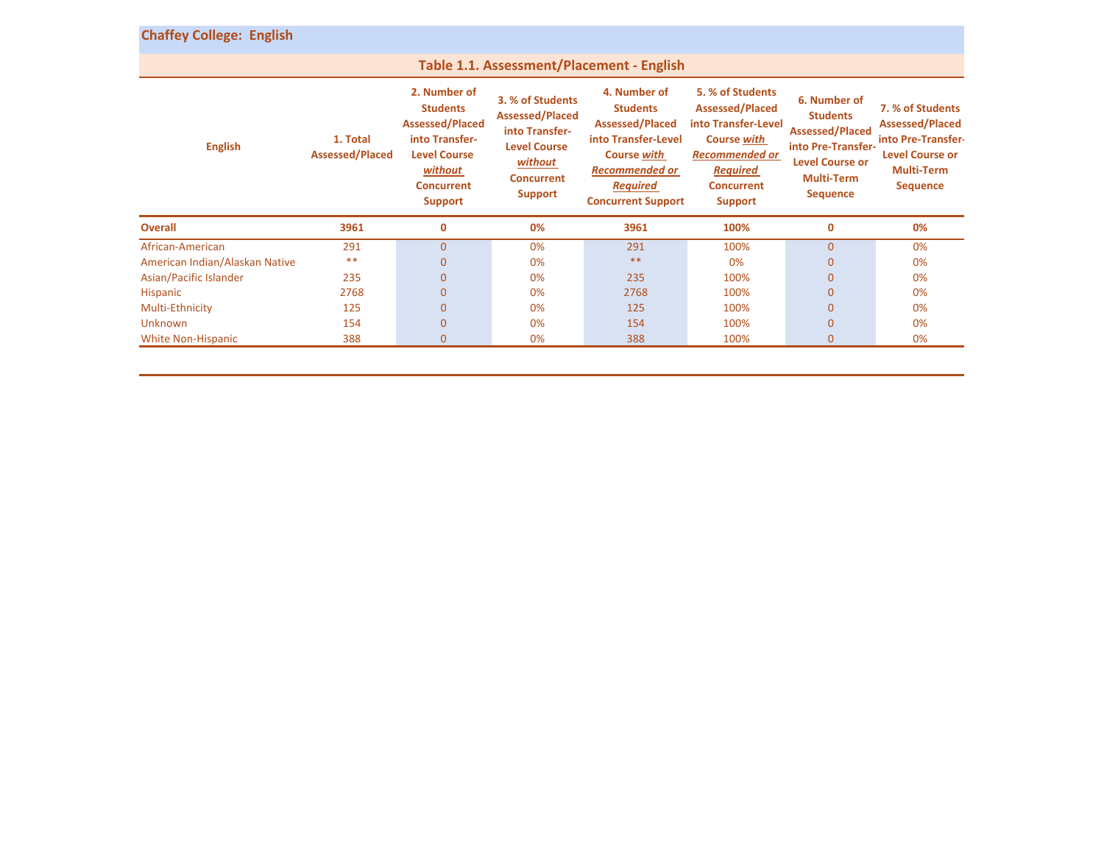| <b>Chaffey College: English</b>           |                                    |                                                                                                                                                      |                                                                                                                                       |                                                                                                                                                                                 |                                                                                                                                                                     |                                                                                                                                                   |                                                                                                                                    |  |
|-------------------------------------------|------------------------------------|------------------------------------------------------------------------------------------------------------------------------------------------------|---------------------------------------------------------------------------------------------------------------------------------------|---------------------------------------------------------------------------------------------------------------------------------------------------------------------------------|---------------------------------------------------------------------------------------------------------------------------------------------------------------------|---------------------------------------------------------------------------------------------------------------------------------------------------|------------------------------------------------------------------------------------------------------------------------------------|--|
| Table 1.1. Assessment/Placement - English |                                    |                                                                                                                                                      |                                                                                                                                       |                                                                                                                                                                                 |                                                                                                                                                                     |                                                                                                                                                   |                                                                                                                                    |  |
| <b>English</b>                            | 1. Total<br><b>Assessed/Placed</b> | 2. Number of<br><b>Students</b><br><b>Assessed/Placed</b><br>into Transfer-<br><b>Level Course</b><br>without<br><b>Concurrent</b><br><b>Support</b> | 3. % of Students<br><b>Assessed/Placed</b><br>into Transfer-<br><b>Level Course</b><br>without<br><b>Concurrent</b><br><b>Support</b> | 4. Number of<br><b>Students</b><br><b>Assessed/Placed</b><br>into Transfer-Level<br><b>Course with</b><br><b>Recommended or</b><br><b>Required</b><br><b>Concurrent Support</b> | 5. % of Students<br><b>Assessed/Placed</b><br>into Transfer-Level<br><b>Course with</b><br><b>Recommended or</b><br><b>Required</b><br><b>Concurrent</b><br>Support | 6. Number of<br><b>Students</b><br><b>Assessed/Placed</b><br>into Pre-Transfer-<br><b>Level Course or</b><br><b>Multi-Term</b><br><b>Sequence</b> | 7. % of Students<br><b>Assessed/Placed</b><br>into Pre-Transfer-<br><b>Level Course or</b><br><b>Multi-Term</b><br><b>Sequence</b> |  |
| <b>Overall</b>                            | 3961                               | 0                                                                                                                                                    | 0%                                                                                                                                    | 3961                                                                                                                                                                            | 100%                                                                                                                                                                | 0                                                                                                                                                 | 0%                                                                                                                                 |  |
| African-American                          | 291                                | $\overline{0}$                                                                                                                                       | 0%                                                                                                                                    | 291                                                                                                                                                                             | 100%                                                                                                                                                                | $\mathbf{0}$                                                                                                                                      | 0%                                                                                                                                 |  |
| American Indian/Alaskan Native            | $***$                              | $\overline{0}$                                                                                                                                       | 0%                                                                                                                                    | $**$                                                                                                                                                                            | 0%                                                                                                                                                                  | $\mathbf{0}$                                                                                                                                      | 0%                                                                                                                                 |  |
| Asian/Pacific Islander                    | 235                                | 0                                                                                                                                                    | 0%                                                                                                                                    | 235                                                                                                                                                                             | 100%                                                                                                                                                                | $\mathbf{0}$                                                                                                                                      | 0%                                                                                                                                 |  |
| <b>Hispanic</b>                           | 2768                               | $\mathbf{0}$                                                                                                                                         | 0%                                                                                                                                    | 2768                                                                                                                                                                            | 100%                                                                                                                                                                | $\mathbf{0}$                                                                                                                                      | 0%                                                                                                                                 |  |
| Multi-Ethnicity                           | 125                                | $\mathbf 0$                                                                                                                                          | 0%                                                                                                                                    | 125                                                                                                                                                                             | 100%                                                                                                                                                                | $\mathbf{0}$                                                                                                                                      | 0%                                                                                                                                 |  |
| <b>Unknown</b>                            | 154                                | $\mathbf 0$                                                                                                                                          | 0%                                                                                                                                    | 154                                                                                                                                                                             | 100%                                                                                                                                                                | $\mathbf 0$                                                                                                                                       | 0%                                                                                                                                 |  |
| <b>White Non-Hispanic</b>                 | 388                                | $\overline{0}$                                                                                                                                       | 0%                                                                                                                                    | 388                                                                                                                                                                             | 100%                                                                                                                                                                | $\mathbf{0}$                                                                                                                                      | 0%                                                                                                                                 |  |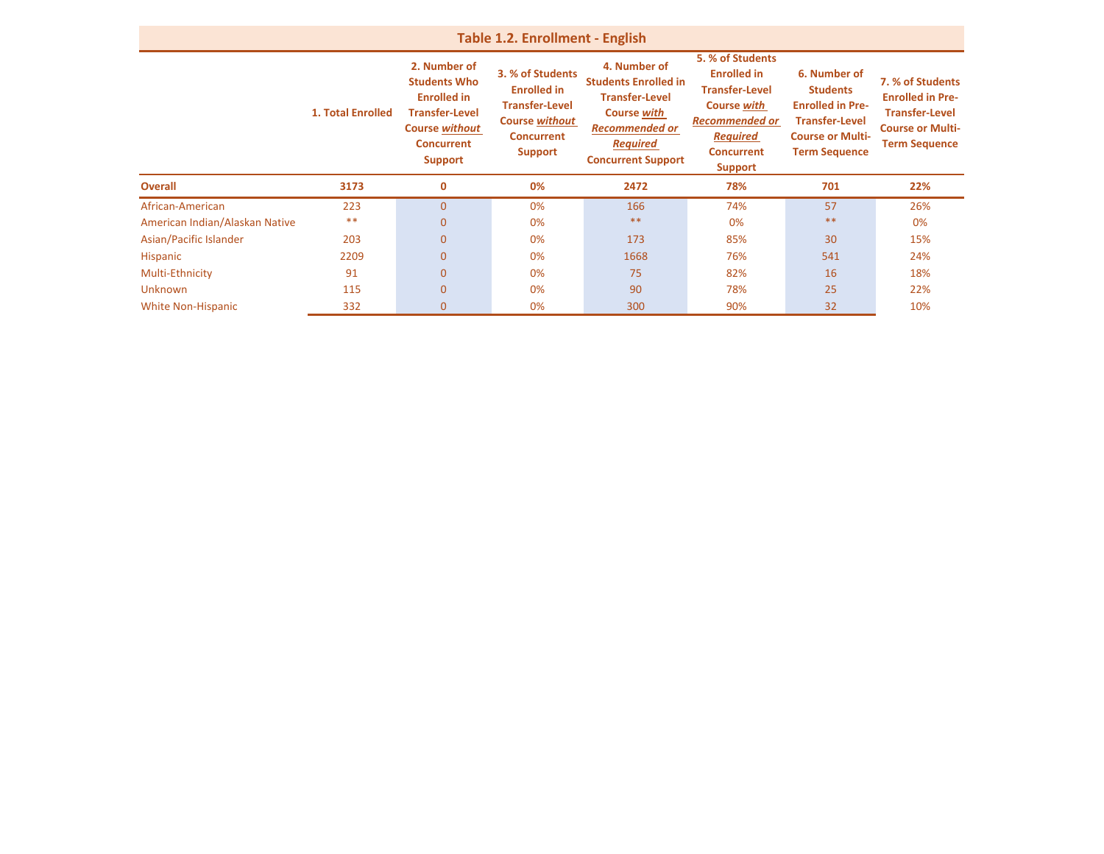| <b>Table 1.2. Enrollment - English</b> |                          |                                                                                                                                                    |                                                                                                                                 |                                                                                                                                                                     |                                                                                                                                                                          |                                                                                                                                        |                                                                                                                         |  |
|----------------------------------------|--------------------------|----------------------------------------------------------------------------------------------------------------------------------------------------|---------------------------------------------------------------------------------------------------------------------------------|---------------------------------------------------------------------------------------------------------------------------------------------------------------------|--------------------------------------------------------------------------------------------------------------------------------------------------------------------------|----------------------------------------------------------------------------------------------------------------------------------------|-------------------------------------------------------------------------------------------------------------------------|--|
|                                        | <b>1. Total Enrolled</b> | 2. Number of<br><b>Students Who</b><br><b>Enrolled in</b><br><b>Transfer-Level</b><br><b>Course without</b><br><b>Concurrent</b><br><b>Support</b> | 3. % of Students<br><b>Enrolled in</b><br><b>Transfer-Level</b><br><b>Course without</b><br><b>Concurrent</b><br><b>Support</b> | 4. Number of<br><b>Students Enrolled in</b><br><b>Transfer-Level</b><br><b>Course with</b><br><b>Recommended or</b><br><b>Required</b><br><b>Concurrent Support</b> | 5. % of Students<br><b>Enrolled in</b><br><b>Transfer-Level</b><br><b>Course with</b><br><b>Recommended or</b><br><b>Required</b><br><b>Concurrent</b><br><b>Support</b> | 6. Number of<br><b>Students</b><br><b>Enrolled in Pre-</b><br><b>Transfer-Level</b><br><b>Course or Multi-</b><br><b>Term Sequence</b> | 7. % of Students<br><b>Enrolled in Pre-</b><br><b>Transfer-Level</b><br><b>Course or Multi-</b><br><b>Term Sequence</b> |  |
| <b>Overall</b>                         | 3173                     | $\mathbf 0$                                                                                                                                        | 0%                                                                                                                              | 2472                                                                                                                                                                | 78%                                                                                                                                                                      | 701                                                                                                                                    | 22%                                                                                                                     |  |
| African-American                       | 223                      | $\mathbf 0$                                                                                                                                        | 0%                                                                                                                              | 166                                                                                                                                                                 | 74%                                                                                                                                                                      | 57                                                                                                                                     | 26%                                                                                                                     |  |
| American Indian/Alaskan Native         | $***$                    | $\overline{0}$                                                                                                                                     | 0%                                                                                                                              | $***$                                                                                                                                                               | 0%                                                                                                                                                                       | $***$                                                                                                                                  | 0%                                                                                                                      |  |
| Asian/Pacific Islander                 | 203                      | $\overline{0}$                                                                                                                                     | 0%                                                                                                                              | 173                                                                                                                                                                 | 85%                                                                                                                                                                      | 30                                                                                                                                     | 15%                                                                                                                     |  |
| Hispanic                               | 2209                     | $\overline{0}$                                                                                                                                     | 0%                                                                                                                              | 1668                                                                                                                                                                | 76%                                                                                                                                                                      | 541                                                                                                                                    | 24%                                                                                                                     |  |
| Multi-Ethnicity                        | 91                       | $\overline{0}$                                                                                                                                     | 0%                                                                                                                              | 75                                                                                                                                                                  | 82%                                                                                                                                                                      | 16                                                                                                                                     | 18%                                                                                                                     |  |
| <b>Unknown</b>                         | 115                      | $\overline{0}$                                                                                                                                     | 0%                                                                                                                              | 90                                                                                                                                                                  | 78%                                                                                                                                                                      | 25                                                                                                                                     | 22%                                                                                                                     |  |
| <b>White Non-Hispanic</b>              | 332                      | $\mathbf{0}$                                                                                                                                       | 0%                                                                                                                              | 300                                                                                                                                                                 | 90%                                                                                                                                                                      | 32                                                                                                                                     | 10%                                                                                                                     |  |